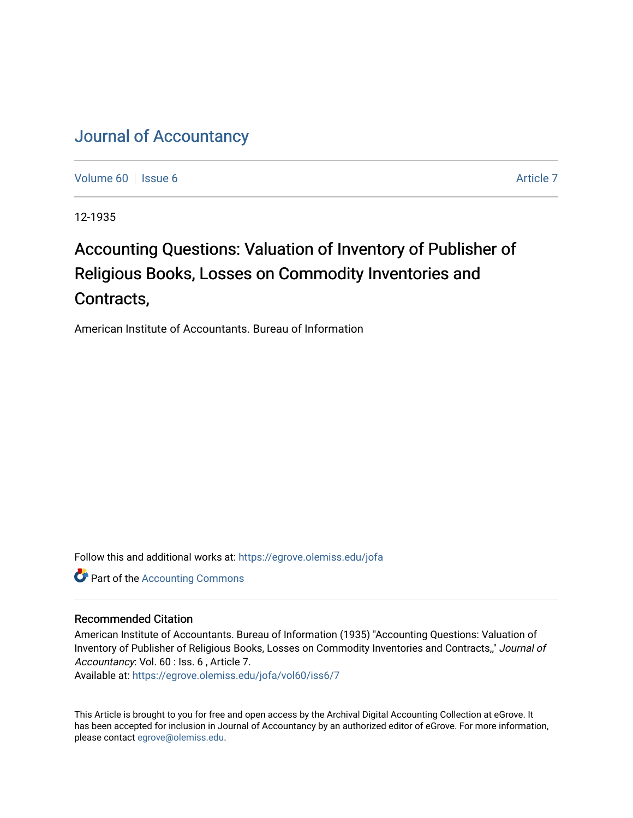## [Journal of Accountancy](https://egrove.olemiss.edu/jofa)

[Volume 60](https://egrove.olemiss.edu/jofa/vol60) | [Issue 6](https://egrove.olemiss.edu/jofa/vol60/iss6) [Article 7](https://egrove.olemiss.edu/jofa/vol60/iss6/7) Article 7 Article 7 Article 7 Article 7 Article 7 Article 7

12-1935

# Accounting Questions: Valuation of Inventory of Publisher of Religious Books, Losses on Commodity Inventories and Contracts,

American Institute of Accountants. Bureau of Information

Follow this and additional works at: [https://egrove.olemiss.edu/jofa](https://egrove.olemiss.edu/jofa?utm_source=egrove.olemiss.edu%2Fjofa%2Fvol60%2Fiss6%2F7&utm_medium=PDF&utm_campaign=PDFCoverPages) 

**Part of the [Accounting Commons](http://network.bepress.com/hgg/discipline/625?utm_source=egrove.olemiss.edu%2Fjofa%2Fvol60%2Fiss6%2F7&utm_medium=PDF&utm_campaign=PDFCoverPages)** 

### Recommended Citation

American Institute of Accountants. Bureau of Information (1935) "Accounting Questions: Valuation of Inventory of Publisher of Religious Books, Losses on Commodity Inventories and Contracts,," Journal of Accountancy: Vol. 60 : Iss. 6 , Article 7.

Available at: [https://egrove.olemiss.edu/jofa/vol60/iss6/7](https://egrove.olemiss.edu/jofa/vol60/iss6/7?utm_source=egrove.olemiss.edu%2Fjofa%2Fvol60%2Fiss6%2F7&utm_medium=PDF&utm_campaign=PDFCoverPages) 

This Article is brought to you for free and open access by the Archival Digital Accounting Collection at eGrove. It has been accepted for inclusion in Journal of Accountancy by an authorized editor of eGrove. For more information, please contact [egrove@olemiss.edu.](mailto:egrove@olemiss.edu)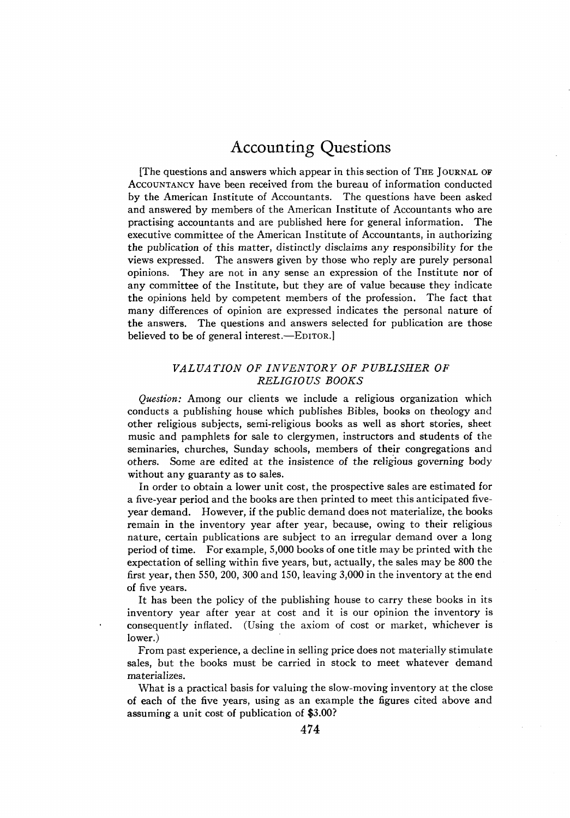### Accounting Questions

[The questions and answers which appear in this section of The Journal of Accountancy have been received from the bureau of information conducted by the American Institute of Accountants. The questions have been asked and answered by members of the American Institute of Accountants who are practising accountants and are published here for general information. The executive committee of the American Institute of Accountants, in authorizing the publication of this matter, distinctly disclaims any responsibility for the views expressed. The answers given by those who reply are purely personal opinions. They are not in any sense an expression of the Institute nor of any committee of the Institute, but they are of value because they indicate the opinions held by competent members of the profession. The fact that many differences of opinion are expressed indicates the personal nature of the answers. The questions and answers selected for publication are those believed to be of general interest.—EDITOR.]

#### *VALUATION OF INVENTORY OF PUBLISHER OF RELIGIOUS BOOKS*

*Question:* Among our clients we include a religious organization which conducts a publishing house which publishes Bibles, books on theology and other religious subjects, semi-religious books as well as short stories, sheet music and pamphlets for sale to clergymen, instructors and students of the seminaries, churches, Sunday schools, members of their congregations and others. Some are edited at the insistence of the religious governing body without any guaranty as to sales.

In order to obtain a lower unit cost, the prospective sales are estimated for a five-year period and the books are then printed to meet this anticipated fiveyear demand. However, if the public demand does not materialize, the books remain in the inventory year after year, because, owing to their religious nature, certain publications are subject to an irregular demand over a long period of time. For example, 5,000 books of one title may be printed with the expectation of selling within five years, but, actually, the sales may be 800 the first year, then 550, 200, 300 and 150, leaving 3,000 in the inventory at the end of five years.

It has been the policy of the publishing house to carry these books in its inventory year after year at cost and it is our opinion the inventory is consequently inflated. (Using the axiom of cost or market, whichever is lower.)

From past experience, a decline in selling price does not materially stimulate sales, but the books must be carried in stock to meet whatever demand materializes.

What is a practical basis for valuing the slow-moving inventory at the close of each of the five years, using as an example the figures cited above and assuming a unit cost of publication of \$3.00?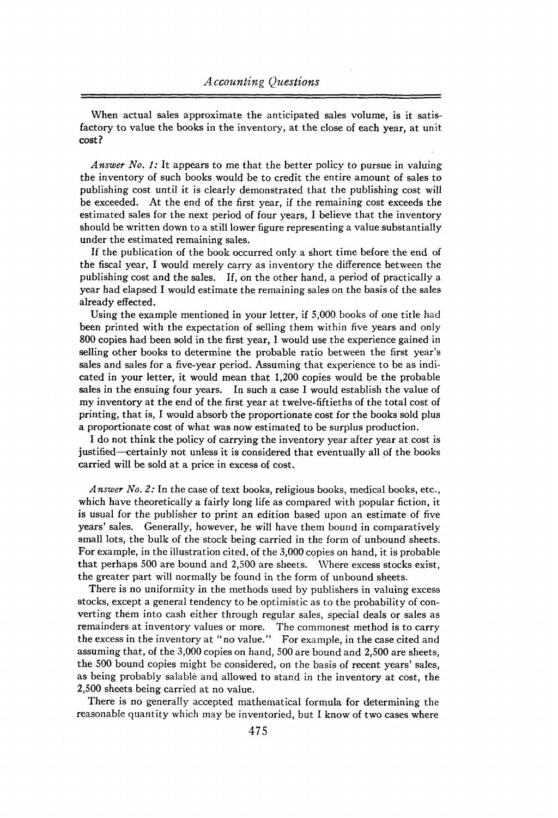When actual sales approximate the anticipated sales volume, is it satisfactory to value the books in the inventory, at the close of each year, at unit cost?

*Answer No. 1:* It appears to me that the better policy to pursue in valuing the inventory of such books would be to credit the entire amount of sales to publishing cost until it is clearly demonstrated that the publishing cost will be exceeded. At the end of the first year, if the remaining cost exceeds the estimated sales for the next period of four years, I believe that the inventory should be written down to a still lower figure representing a value substantially under the estimated remaining sales.

If the publication of the book occurred only a short time before the end of the fiscal year, I would merely carry as inventory the difference between the publishing cost and the sales. If, on the other hand, a period of practically a year had elapsed I would estimate the remaining sales on the basis of the sales already effected.

Using the example mentioned in your letter, if 5,000 books of one title had been printed with the expectation of selling them within five years and only 800 copies had been sold in the first year, I would use the experience gained in selling other books to determine the probable ratio between the first year's sales and sales for a five-year period. Assuming that experience to be as indicated in your letter, it would mean that 1,200 copies would be the probable sales in the ensuing four years. In such a case I would establish the value of my inventory at the end of the first year at twelve-fiftieths of the total cost of printing, that is, I would absorb the proportionate cost for the books sold plus a proportionate cost of what was now estimated to be surplus production.

I do not think the policy of carrying the inventory year after year at cost is justified—certainly not unless it is considered that eventually all of the books carried will be sold at a price in excess of cost.

*Answer No. 2:* In the case of text books, religious books, medical books, etc., which have theoretically a fairly long life as compared with popular fiction, it is usual for the publisher to print an edition based upon an estimate of five years' sales. Generally, however, he will have them bound in comparatively small lots, the bulk of the stock being carried in the form of unbound sheets. For example, in the illustration cited, of the 3,000 copies on hand, it is probable that perhaps 500 are bound and 2,500 are sheets. Where excess stocks exist, the greater part will normally be found in the form of unbound sheets.

There is no uniformity in the methods used by publishers in valuing excess stocks, except a general tendency to be optimistic as to the probability of converting them into cash either through regular sales, special deals or sales as remainders at inventory values or more. The commonest method is to carry the excess in the inventory at *"no value." For* example, in the case cited and assuming that, of the 3,000 copies on hand, 500 are bound and 2,500 are sheets, the 500 bound copies might be considered, on the basis of recent years' sales, as being probably salable and allowed to stand in the inventory at cost, the 2,500 sheets being carried at no value.

There is no generally accepted mathematical formula for determining the reasonable quantity which may be inventoried, but I know of two cases where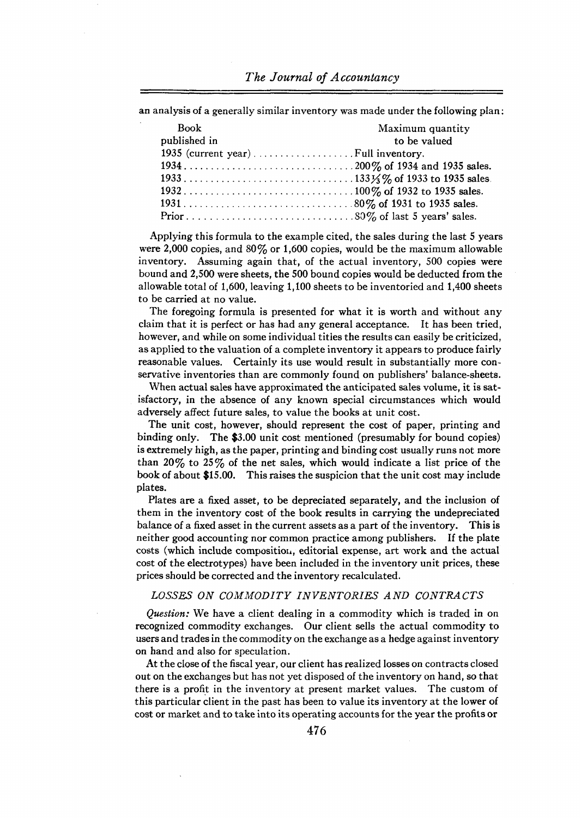an analysis of a generally similar inventory was made under the following plan:

| <b>Book</b>                         | Maximum quantity |
|-------------------------------------|------------------|
| published in                        | to be valued     |
| 1935 (current year) Full inventory. |                  |
|                                     |                  |
|                                     |                  |
|                                     |                  |
|                                     |                  |
|                                     |                  |

Applying this formula to the example cited, the sales during the last 5 years were 2,000 copies, and  $80\%$  or 1,600 copies, would be the maximum allowable inventory. Assuming again that, of the actual inventory, 500 copies were bound and 2,500 were sheets, the 500 bound copies would be deducted from the allowable total of 1,600, leaving 1,100 sheets to be inventoried and 1,400 sheets to be carried at no value.

The foregoing formula is presented for what it is worth and without any claim that it is perfect or has had any general acceptance. It has been tried, however, and while on some individual titles the results can easily be criticized, as applied to the valuation of a complete inventory it appears to produce fairly reasonable values. Certainly its use would result in substantially more conservative inventories than are commonly found on publishers' balance-sheets.

When actual sales have approximated the anticipated sales volume, it is satisfactory, in the absence of any known special circumstances which would adversely affect future sales, to value the books at unit cost.

The unit cost, however, should represent the cost of paper, printing and binding only. The \$3.00 unit cost mentioned (presumably for bound copies) is extremely high, asthe paper, printing and binding cost usually runs not more than 20% to 25% of the net sales, which would indicate a list price of the book of about \$15.00. This raises the suspicion that the unit cost may include plates.

Plates are a fixed asset, to be depreciated separately, and the inclusion of them in the inventory cost of the book results in carrying the undepreciated balance of a fixed asset in the current assets as a part of the inventory. This is neither good accounting nor common practice among publishers. If the plate costs (which include composition, editorial expense, art work and the actual cost of the electrotypes) have been included in the inventory unit prices, these prices should be corrected and the inventory recalculated.

#### *LOSSES ON COMMODITY INVENTORIES AND CONTRACTS*

*Question:* We have a client dealing in a commodity which is traded in on recognized commodity exchanges. Our client sells the actual commodity to users and tradesin the commodity on the exchange as a hedge against inventory on hand and also for speculation.

At the close of the fiscal year, our client hasrealized losses on contracts closed out on the exchanges but has not yet disposed of the inventory on hand, so that there is a profit in the inventory at present market values. The custom of this particular client in the past has been to value its inventory at the lower of cost or market and to take into its operating accountsfor the year the profits or